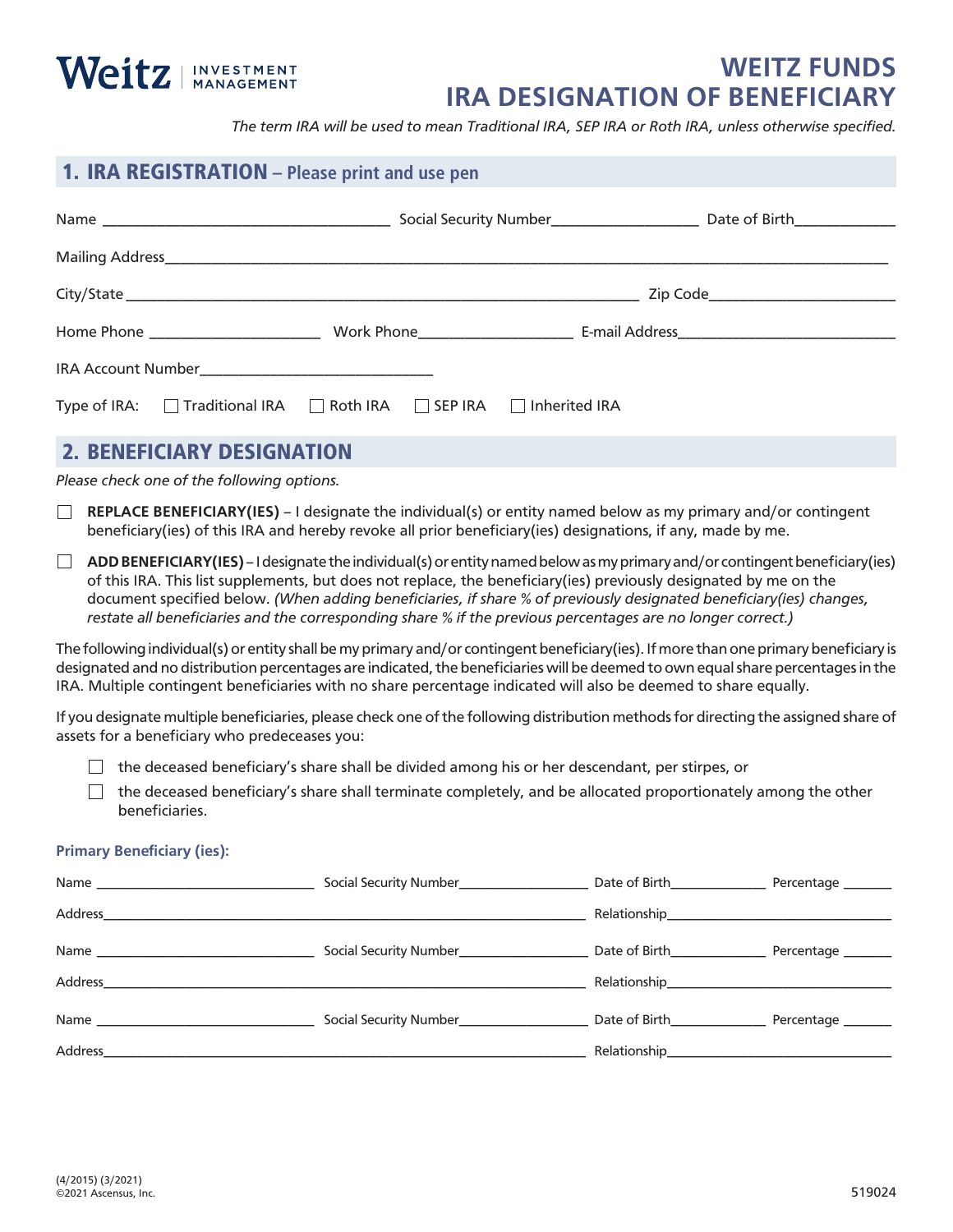# Weitz | INVESTMENT

# **WEITZ FUNDS IRA DESIGNATION OF BENEFICIARY**

*The term IRA will be used to mean Traditional IRA, SEP IRA or Roth IRA, unless otherwise specified.*

### 1. IRA REGISTRATION **– Please print and use pen**

| Type of IRA: □ Traditional IRA □ Roth IRA □ SEP IRA □ Inherited IRA |  |  |  |  |
|---------------------------------------------------------------------|--|--|--|--|
| <b>2. BENEFICIARY DESIGNATION</b>                                   |  |  |  |  |

*Please check one of the following options.*

- **REPLACE BENEFICIARY(IES)** I designate the individual(s) or entity named below as my primary and/or contingent beneficiary(ies) of this IRA and hereby revoke all prior beneficiary(ies) designations, if any, made by me.
- **ADD BENEFICIARY(IES)** I designate the individual(s) or entity named below as my primary and/or contingent beneficiary(ies) of this IRA. This list supplements, but does not replace, the beneficiary(ies) previously designated by me on the document specified below. *(When adding beneficiaries, if share % of previously designated beneficiary(ies) changes, restate all beneficiaries and the corresponding share % if the previous percentages are no longer correct.)*

The following individual(s) or entity shall be my primary and/or contingent beneficiary(ies). If more than one primary beneficiary is designated and no distribution percentages are indicated, the beneficiaries will be deemed to own equal share percentages in the IRA. Multiple contingent beneficiaries with no share percentage indicated will also be deemed to share equally.

If you designate multiple beneficiaries, please check one of the following distribution methods for directing the assigned share of assets for a beneficiary who predeceases you:

- $\Box$  the deceased beneficiary's share shall be divided among his or her descendant, per stirpes, or
- $\Box$  the deceased beneficiary's share shall terminate completely, and be allocated proportionately among the other beneficiaries.

#### **Primary Beneficiary (ies):**

|                                                                                                                                 |                        |                              | Percentage _______ |
|---------------------------------------------------------------------------------------------------------------------------------|------------------------|------------------------------|--------------------|
| Address<br><u> 1980 - Jan Barbara, martin da basar da basar da basa da basa da basa da basa da basa da basa da basa da basa</u> |                        |                              |                    |
|                                                                                                                                 |                        |                              |                    |
|                                                                                                                                 | Social Security Number | Date of Birth_______________ | Percentage ______  |
| Address<br>and the control of the control of the control of the control of the control of the control of the control of the     |                        |                              |                    |
|                                                                                                                                 |                        |                              |                    |
|                                                                                                                                 |                        | Date of Birth_______________ | Percentage _______ |
| Address                                                                                                                         |                        |                              |                    |